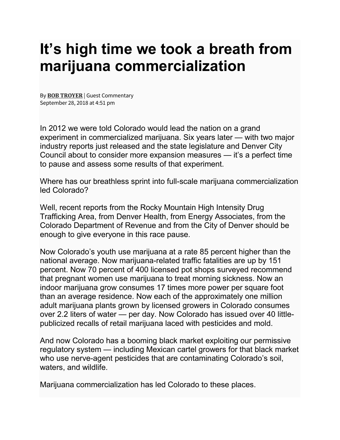## **It's high time we took a breath from marijuana commercialization**

By **BOB [TROYER](https://www.denverpost.com/author/bob-troyer/)** | Guest Commentary September 28, 2018 at 4:51 pm

In 2012 we were told Colorado would lead the nation on a grand experiment in commercialized marijuana. Six years later — with two major industry reports just released and the state legislature and Denver City Council about to consider more expansion measures — it's a perfect time to pause and assess some results of that experiment.

Where has our breathless sprint into full-scale marijuana commercialization led Colorado?

Well, recent reports from the Rocky Mountain High Intensity Drug Trafficking Area, from Denver Health, from Energy Associates, from the Colorado Department of Revenue and from the City of Denver should be enough to give everyone in this race pause.

Now Colorado's youth use marijuana at a rate 85 percent higher than the national average. Now marijuana-related traffic fatalities are up by 151 percent. Now 70 percent of 400 licensed pot shops surveyed recommend that pregnant women use marijuana to treat morning sickness. Now an indoor marijuana grow consumes 17 times more power per square foot than an average residence. Now each of the approximately one million adult marijuana plants grown by licensed growers in Colorado consumes over 2.2 liters of water — per day. Now Colorado has issued over 40 littlepublicized recalls of retail marijuana laced with pesticides and mold.

And now Colorado has a booming black market exploiting our permissive regulatory system — including Mexican cartel growers for that black market who use nerve-agent pesticides that are contaminating Colorado's soil, waters, and wildlife.

Marijuana commercialization has led Colorado to these places.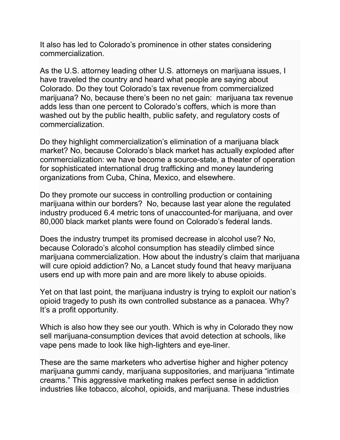It also has led to Colorado's prominence in other states considering commercialization.

As the U.S. attorney leading other U.S. attorneys on marijuana issues, I have traveled the country and heard what people are saying about Colorado. Do they tout Colorado's tax revenue from commercialized marijuana? No, because there's been no net gain: marijuana tax revenue adds less than one percent to Colorado's coffers, which is more than washed out by the public health, public safety, and regulatory costs of commercialization.

Do they highlight commercialization's elimination of a marijuana black market? No, because Colorado's black market has actually exploded after commercialization: we have become a source-state, a theater of operation for sophisticated international drug trafficking and money laundering organizations from Cuba, China, Mexico, and elsewhere.

Do they promote our success in controlling production or containing marijuana within our borders? No, because last year alone the regulated industry produced 6.4 metric tons of unaccounted-for marijuana, and over 80,000 black market plants were found on Colorado's federal lands.

Does the industry trumpet its promised decrease in alcohol use? No, because Colorado's alcohol consumption has steadily climbed since marijuana commercialization. How about the industry's claim that marijuana will cure opioid addiction? No, a Lancet study found that heavy marijuana users end up with more pain and are more likely to abuse opioids.

Yet on that last point, the marijuana industry is trying to exploit our nation's opioid tragedy to push its own controlled substance as a panacea. Why? It's a profit opportunity.

Which is also how they see our youth. Which is why in Colorado they now sell marijuana-consumption devices that avoid detection at schools, like vape pens made to look like high-lighters and eye-liner.

These are the same marketers who advertise higher and higher potency marijuana gummi candy, marijuana suppositories, and marijuana "intimate creams." This aggressive marketing makes perfect sense in addiction industries like tobacco, alcohol, opioids, and marijuana. These industries